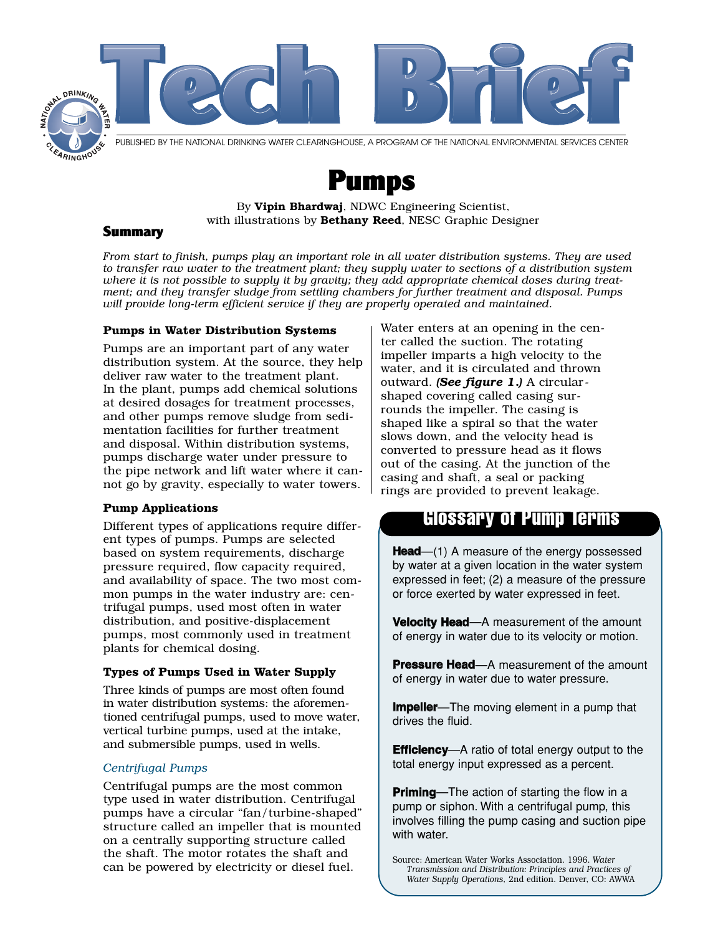

# Pumps

By Vipin Bhardwaj, NDWC Engineering Scientist, with illustrations by Bethany Reed, NESC Graphic Designer

### **Summary**

*From start to finish, pumps play an important role in all water distribution systems. They are used to transfer raw water to the treatment plant; they supply water to sections of a distribution system where it is not possible to supply it by gravity; they add appropriate chemical doses during treatment; and they transfer sludge from settling chambers for further treatment and disposal. Pumps will provide long-term efficient service if they are properly operated and maintained.* 

### **Pumps in Water Distribution Systems**

Pumps are an important part of any water distribution system. At the source, they help deliver raw water to the treatment plant. In the plant, pumps add chemical solutions at desired dosages for treatment processes, and other pumps remove sludge from sedimentation facilities for further treatment and disposal. Within distribution systems, pumps discharge water under pressure to the pipe network and lift water where it cannot go by gravity, especially to water towers.

### **Pump Applications**

Different types of applications require different types of pumps. Pumps are selected based on system requirements, discharge pressure required, flow capacity required, and availability of space. The two most common pumps in the water industry are: centrifugal pumps, used most often in water distribution, and positive-displacement pumps, most commonly used in treatment plants for chemical dosing.

### **Types of Pumps Used in Water Supply**

Three kinds of pumps are most often found in water distribution systems: the aforementioned centrifugal pumps, used to move water, vertical turbine pumps, used at the intake, and submersible pumps, used in wells.

### *Centrifugal Pumps*

Centrifugal pumps are the most common type used in water distribution. Centrifugal pumps have a circular "fan/turbine-shaped" structure called an impeller that is mounted on a centrally supporting structure called the shaft. The motor rotates the shaft and can be powered by electricity or diesel fuel.

Water enters at an opening in the center called the suction. The rotating impeller imparts a high velocity to the water, and it is circulated and thrown outward. *(See figure 1*.*)* A circularshaped covering called casing surrounds the impeller. The casing is shaped like a spiral so that the water slows down, and the velocity head is converted to pressure head as it flows out of the casing. At the junction of the casing and shaft, a seal or packing rings are provided to prevent leakage.

### **Glossary of Pump Terms**

**Head**—(1) A measure of the energy possessed by water at a given location in the water system expressed in feet; (2) a measure of the pressure or force exerted by water expressed in feet.

**Velocity Head**—A measurement of the amount of energy in water due to its velocity or motion.

**Pressure Head**—A measurement of the amount of energy in water due to water pressure.

**Impeller**—The moving element in a pump that drives the fluid.

**Efficiency**—A ratio of total energy output to the total energy input expressed as a percent.

**Priming**—The action of starting the flow in a pump or siphon. With a centrifugal pump, this involves filling the pump casing and suction pipe with water.

Source: American Water Works Association. 1996. *Water Transmission and Distribution: Principles and Practices of Water Supply Operations,* 2nd edition. Denver, CO: AWWA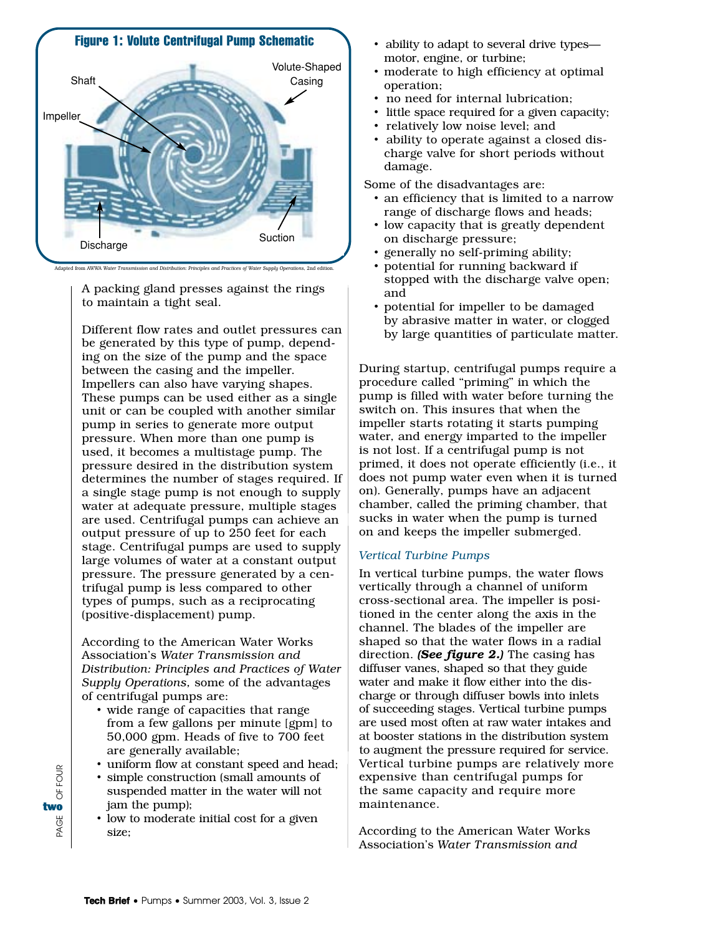

A packing gland presses against the rings to maintain a tight seal.

Different flow rates and outlet pressures can be generated by this type of pump, depending on the size of the pump and the space between the casing and the impeller. Impellers can also have varying shapes. These pumps can be used either as a single unit or can be coupled with another similar pump in series to generate more output pressure. When more than one pump is used, it becomes a multistage pump. The pressure desired in the distribution system determines the number of stages required. If a single stage pump is not enough to supply water at adequate pressure, multiple stages are used. Centrifugal pumps can achieve an output pressure of up to 250 feet for each stage. Centrifugal pumps are used to supply large volumes of water at a constant output pressure. The pressure generated by a centrifugal pump is less compared to other types of pumps, such as a reciprocating (positive-displacement) pump.

According to the American Water Works Association's *Water Transmission and Distribution: Principles and Practices of Water Supply Operations,* some of the advantages of centrifugal pumps are:

- wide range of capacities that range from a few gallons per minute [gpm] to 50,000 gpm. Heads of five to 700 feet are generally available;
- uniform flow at constant speed and head;
- simple construction (small amounts of suspended matter in the water will not jam the pump);
- low to moderate initial cost for a given size;
- ability to adapt to several drive types motor, engine, or turbine;
- moderate to high efficiency at optimal operation;
- no need for internal lubrication;
- little space required for a given capacity;
- relatively low noise level; and
- ability to operate against a closed discharge valve for short periods without damage.

Some of the disadvantages are:

- an efficiency that is limited to a narrow range of discharge flows and heads;
- low capacity that is greatly dependent on discharge pressure;
- generally no self-priming ability;
- potential for running backward if stopped with the discharge valve open; and
- potential for impeller to be damaged by abrasive matter in water, or clogged by large quantities of particulate matter.

During startup, centrifugal pumps require a procedure called "priming" in which the pump is filled with water before turning the switch on. This insures that when the impeller starts rotating it starts pumping water, and energy imparted to the impeller is not lost. If a centrifugal pump is not primed, it does not operate efficiently (i.e., it does not pump water even when it is turned on). Generally, pumps have an adjacent chamber, called the priming chamber, that sucks in water when the pump is turned on and keeps the impeller submerged.

#### *Vertical Turbine Pumps*

In vertical turbine pumps, the water flows vertically through a channel of uniform cross-sectional area. The impeller is positioned in the center along the axis in the channel. The blades of the impeller are shaped so that the water flows in a radial direction. *(See figure 2.)* The casing has diffuser vanes, shaped so that they guide water and make it flow either into the discharge or through diffuser bowls into inlets of succeeding stages. Vertical turbine pumps are used most often at raw water intakes and at booster stations in the distribution system to augment the pressure required for service. Vertical turbine pumps are relatively more expensive than centrifugal pumps for the same capacity and require more maintenance.

According to the American Water Works Association's *Water Transmission and*

PAGE GE OF FOUR ی<br>two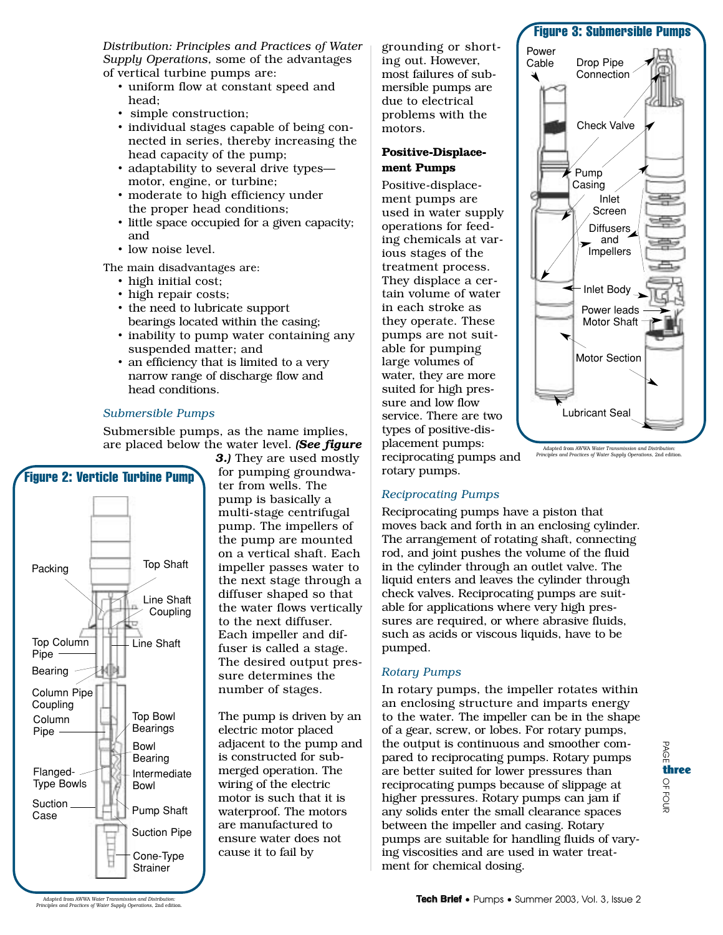*Distribution: Principles and Practices of Water Supply Operations,* some of the advantages of vertical turbine pumps are:

- uniform flow at constant speed and head;
- simple construction;
- individual stages capable of being connected in series, thereby increasing the head capacity of the pump;
- adaptability to several drive types motor, engine, or turbine;
- moderate to high efficiency under the proper head conditions;
- little space occupied for a given capacity; and
- low noise level.

The main disadvantages are:

- high initial cost;
- high repair costs;
- the need to lubricate support bearings located within the casing;
- inability to pump water containing any suspended matter; and
- an efficiency that is limited to a very narrow range of discharge flow and head conditions.

### *Submersible Pumps*

Submersible pumps, as the name implies, are placed below the water level. *(See figure*



*3.)* They are used mostly for pumping groundwater from wells. The pump is basically a multi-stage centrifugal pump. The impellers of the pump are mounted on a vertical shaft. Each impeller passes water to the next stage through a diffuser shaped so that the water flows vertically to the next diffuser. Each impeller and diffuser is called a stage. The desired output pressure determines the number of stages.

The pump is driven by an electric motor placed adjacent to the pump and is constructed for submerged operation. The wiring of the electric motor is such that it is waterproof. The motors are manufactured to ensure water does not cause it to fail by

grounding or shorting out. However, most failures of submersible pumps are due to electrical problems with the motors.

### **Positive-Displacement Pumps**

Positive-displacement pumps are used in water supply operations for feeding chemicals at various stages of the treatment process. They displace a certain volume of water in each stroke as they operate. These pumps are not suitable for pumping large volumes of water, they are more suited for high pressure and low flow service. There are two types of positive-dis-

### **Figure 3: Submersible Pumps** Power Cable Drop Pipe Connection Check Valve Pump Casing Inlet Screen Inlet Body Power leads Motor Shaft Motor Section Lubricant Seal **Diffusers** and Impellers

Adapted from AWWA *Water Transmission and Distribution: Principles and Practices of Water Supply Operations,* 2nd edition.

placement pumps: reciprocating pumps and rotary pumps.

### *Reciprocating Pumps*

Reciprocating pumps have a piston that moves back and forth in an enclosing cylinder. The arrangement of rotating shaft, connecting rod, and joint pushes the volume of the fluid in the cylinder through an outlet valve. The liquid enters and leaves the cylinder through check valves. Reciprocating pumps are suitable for applications where very high pressures are required, or where abrasive fluids, such as acids or viscous liquids, have to be pumped.

### *Rotary Pumps*

In rotary pumps, the impeller rotates within an enclosing structure and imparts energy to the water. The impeller can be in the shape of a gear, screw, or lobes. For rotary pumps, the output is continuous and smoother compared to reciprocating pumps. Rotary pumps are better suited for lower pressures than reciprocating pumps because of slippage at higher pressures. Rotary pumps can jam if any solids enter the small clearance spaces between the impeller and casing. Rotary pumps are suitable for handling fluids of varying viscosities and are used in water treatment for chemical dosing.